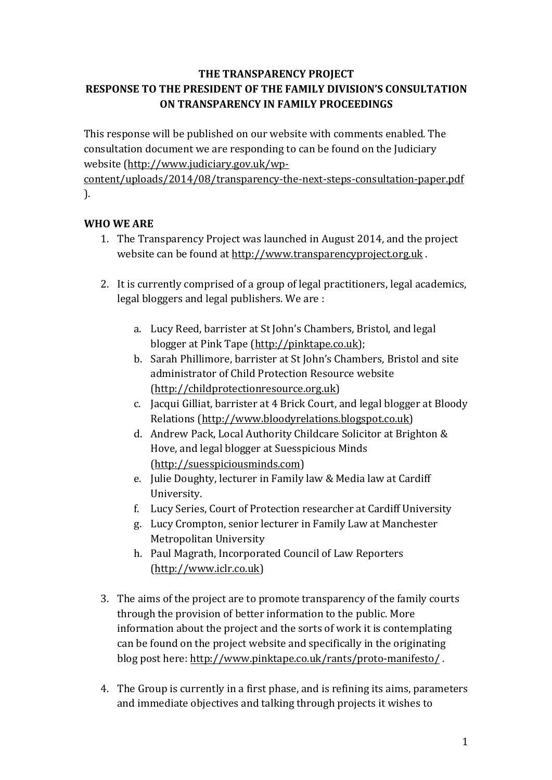## **THE TRANSPARENCY PROJECT** RESPONSE TO THE PRESIDENT OF THE FAMILY DIVISION'S CONSULTATION **ON TRANSPARENCY IN FAMILY PROCEEDINGS**

This response will be published on our website with comments enabled. The consultation document we are responding to can be found on the Judiciary website (http://www.judiciary.gov.uk/wp-

content/uploads/2014/08/transparency-the-next-steps-consultation-paper.pdf ). 

# **WHO WE ARE**

- 1. The Transparency Project was launched in August 2014, and the project website can be found at http://www.transparencyproject.org.uk.
- 2. It is currently comprised of a group of legal practitioners, legal academics, legal bloggers and legal publishers. We are :
	- a. Lucy Reed, barrister at St John's Chambers, Bristol, and legal blogger at Pink Tape (http://pinktape.co.uk);
	- b. Sarah Phillimore, barrister at St John's Chambers, Bristol and site administrator of Child Protection Resource website (http://childprotectionresource.org.uk)
	- c. Jacqui Gilliat, barrister at 4 Brick Court, and legal blogger at Bloody Relations (http://www.bloodyrelations.blogspot.co.uk)
	- d. Andrew Pack, Local Authority Childcare Solicitor at Brighton & Hove, and legal blogger at Suesspicious Minds (http://suesspiciousminds.com)
	- e. Julie Doughty, lecturer in Family law & Media law at Cardiff University.
	- f. Lucy Series, Court of Protection researcher at Cardiff University
	- g. Lucy Crompton, senior lecturer in Family Law at Manchester Metropolitan University
	- h. Paul Magrath, Incorporated Council of Law Reporters (http://www.iclr.co.uk)
- 3. The aims of the project are to promote transparency of the family courts through the provision of better information to the public. More information about the project and the sorts of work it is contemplating can be found on the project website and specifically in the originating blog post here: http://www.pinktape.co.uk/rants/proto-manifesto/.
- 4. The Group is currently in a first phase, and is refining its aims, parameters and immediate objectives and talking through projects it wishes to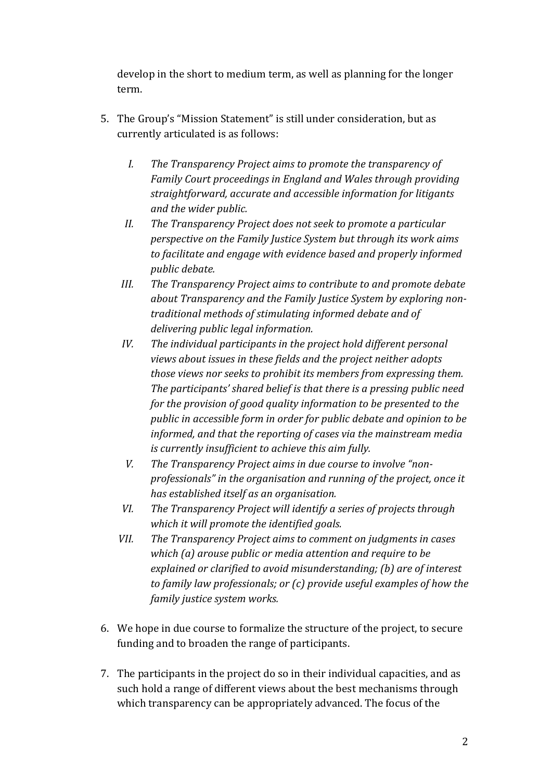develop in the short to medium term, as well as planning for the longer term. 

- 5. The Group's "Mission Statement" is still under consideration, but as currently articulated is as follows:
	- *I.* The Transparency Project aims to promote the transparency of Family Court proceedings in England and Wales through providing straightforward, accurate and accessible information for litigants and the wider public.
	- II. The Transparency Project does not seek to promote a particular perspective on the Family Justice System but through its work aims to facilitate and engage with evidence based and properly informed *public* debate.
	- III. The Transparency Project aims to contribute to and promote debate about Transparency and the Family Justice System by exploring nontraditional methods of stimulating informed debate and of delivering public legal information.
	- *IV.* The individual participants in the project hold different personal views about issues in these fields and the project neither adopts those views nor seeks to prohibit its members from expressing them. The participants' shared belief is that there is a pressing public need for the provision of good quality information to be presented to the public in accessible form in order for public debate and opinion to be informed, and that the reporting of cases via the mainstream media *is currently insufficient to achieve this aim fully.*
	- *V.* The Transparency Project aims in due course to involve "nonprofessionals" in the organisation and running of the project, once it has established itself as an organisation.
	- VI. The Transparency Project will identify a series of projects through which it will promote the identified goals.
	- VII. The Transparency Project aims to comment on judgments in cases which (a) arouse public or media attention and require to be explained or clarified to avoid misunderstanding; (b) are of interest to family law professionals; or (c) provide useful examples of how the *family justice system works.*
- 6. We hope in due course to formalize the structure of the project, to secure funding and to broaden the range of participants.
- 7. The participants in the project do so in their individual capacities, and as such hold a range of different views about the best mechanisms through which transparency can be appropriately advanced. The focus of the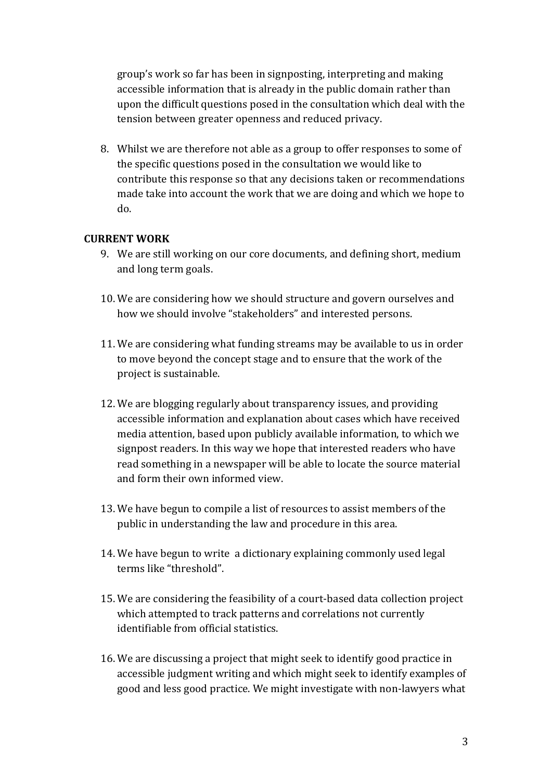group's work so far has been in signposting, interpreting and making accessible information that is already in the public domain rather than upon the difficult questions posed in the consultation which deal with the tension between greater openness and reduced privacy.

8. Whilst we are therefore not able as a group to offer responses to some of the specific questions posed in the consultation we would like to contribute this response so that any decisions taken or recommendations made take into account the work that we are doing and which we hope to do.

## **CURRENT WORK**

- 9. We are still working on our core documents, and defining short, medium and long term goals.
- 10. We are considering how we should structure and govern ourselves and how we should involve "stakeholders" and interested persons.
- 11. We are considering what funding streams may be available to us in order to move beyond the concept stage and to ensure that the work of the project is sustainable.
- 12. We are blogging regularly about transparency issues, and providing accessible information and explanation about cases which have received media attention, based upon publicly available information, to which we signpost readers. In this way we hope that interested readers who have read something in a newspaper will be able to locate the source material and form their own informed view.
- 13. We have begun to compile a list of resources to assist members of the public in understanding the law and procedure in this area.
- 14. We have begun to write a dictionary explaining commonly used legal terms like "threshold".
- 15. We are considering the feasibility of a court-based data collection project which attempted to track patterns and correlations not currently identifiable from official statistics.
- 16. We are discussing a project that might seek to identify good practice in accessible judgment writing and which might seek to identify examples of good and less good practice. We might investigate with non-lawyers what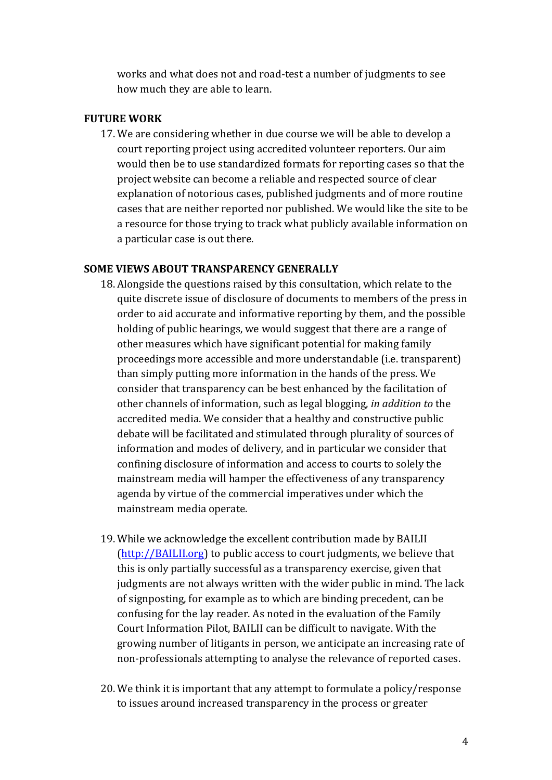works and what does not and road-test a number of judgments to see how much they are able to learn.

## **FUTURE WORK**

17. We are considering whether in due course we will be able to develop a court reporting project using accredited volunteer reporters. Our aim would then be to use standardized formats for reporting cases so that the project website can become a reliable and respected source of clear explanation of notorious cases, published judgments and of more routine cases that are neither reported nor published. We would like the site to be a resource for those trying to track what publicly available information on a particular case is out there.

#### **SOME VIEWS ABOUT TRANSPARENCY GENERALLY**

- 18. Alongside the questions raised by this consultation, which relate to the quite discrete issue of disclosure of documents to members of the press in order to aid accurate and informative reporting by them, and the possible holding of public hearings, we would suggest that there are a range of other measures which have significant potential for making family proceedings more accessible and more understandable (i.e. transparent) than simply putting more information in the hands of the press. We consider that transparency can be best enhanced by the facilitation of other channels of information, such as legal blogging, *in addition to* the accredited media. We consider that a healthy and constructive public debate will be facilitated and stimulated through plurality of sources of information and modes of delivery, and in particular we consider that confining disclosure of information and access to courts to solely the mainstream media will hamper the effectiveness of any transparency agenda by virtue of the commercial imperatives under which the mainstream media operate.
- 19. While we acknowledge the excellent contribution made by BAILII  $(\text{http://BAILII.org})$  to public access to court judgments, we believe that this is only partially successful as a transparency exercise, given that judgments are not always written with the wider public in mind. The lack of signposting, for example as to which are binding precedent, can be confusing for the lay reader. As noted in the evaluation of the Family Court Information Pilot, BAILII can be difficult to navigate. With the growing number of litigants in person, we anticipate an increasing rate of non-professionals attempting to analyse the relevance of reported cases.
- 20. We think it is important that any attempt to formulate a policy/response to issues around increased transparency in the process or greater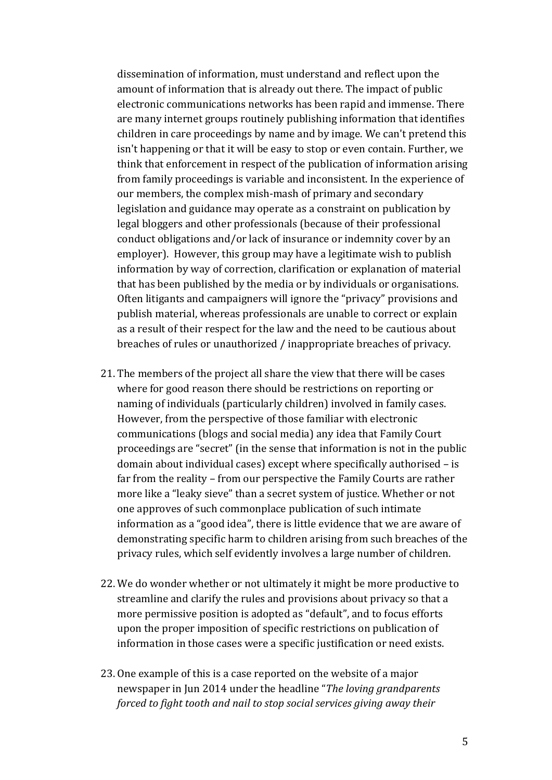dissemination of information, must understand and reflect upon the amount of information that is already out there. The impact of public electronic communications networks has been rapid and immense. There are many internet groups routinely publishing information that identifies children in care proceedings by name and by image. We can't pretend this isn't happening or that it will be easy to stop or even contain. Further, we think that enforcement in respect of the publication of information arising from family proceedings is variable and inconsistent. In the experience of our members, the complex mish-mash of primary and secondary legislation and guidance may operate as a constraint on publication by legal bloggers and other professionals (because of their professional conduct obligations and/or lack of insurance or indemnity cover by an employer). However, this group may have a legitimate wish to publish information by way of correction, clarification or explanation of material that has been published by the media or by individuals or organisations. Often litigants and campaigners will ignore the "privacy" provisions and publish material, whereas professionals are unable to correct or explain as a result of their respect for the law and the need to be cautious about breaches of rules or unauthorized / inappropriate breaches of privacy.

- 21. The members of the project all share the view that there will be cases where for good reason there should be restrictions on reporting or naming of individuals (particularly children) involved in family cases. However, from the perspective of those familiar with electronic communications (blogs and social media) any idea that Family Court proceedings are "secret" (in the sense that information is not in the public domain about individual cases) except where specifically authorised - is far from the reality - from our perspective the Family Courts are rather more like a "leaky sieve" than a secret system of justice. Whether or not one approves of such commonplace publication of such intimate information as a "good idea", there is little evidence that we are aware of demonstrating specific harm to children arising from such breaches of the privacy rules, which self evidently involves a large number of children.
- 22. We do wonder whether or not ultimately it might be more productive to streamline and clarify the rules and provisions about privacy so that a more permissive position is adopted as "default", and to focus efforts upon the proper imposition of specific restrictions on publication of information in those cases were a specific justification or need exists.
- 23. One example of this is a case reported on the website of a major newspaper in Jun 2014 under the headline "The loving grandparents *forced to fight tooth and nail to stop social services giving away their*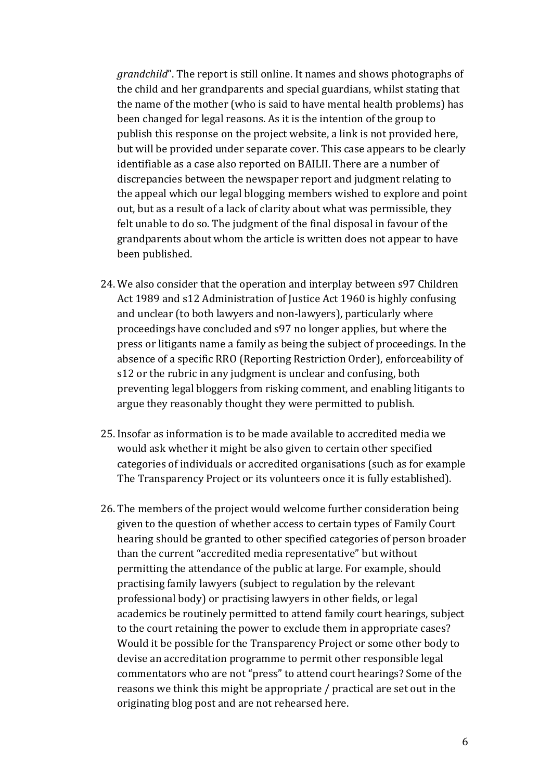*grandchild*". The report is still online. It names and shows photographs of the child and her grandparents and special guardians, whilst stating that the name of the mother (who is said to have mental health problems) has been changed for legal reasons. As it is the intention of the group to publish this response on the project website, a link is not provided here, but will be provided under separate cover. This case appears to be clearly identifiable as a case also reported on BAILII. There are a number of discrepancies between the newspaper report and judgment relating to the appeal which our legal blogging members wished to explore and point out, but as a result of a lack of clarity about what was permissible, they felt unable to do so. The judgment of the final disposal in favour of the grandparents about whom the article is written does not appear to have been published.

- 24. We also consider that the operation and interplay between s97 Children Act 1989 and s12 Administration of Justice Act 1960 is highly confusing and unclear (to both lawyers and non-lawyers), particularly where proceedings have concluded and s97 no longer applies, but where the press or litigants name a family as being the subject of proceedings. In the absence of a specific RRO (Reporting Restriction Order), enforceability of s12 or the rubric in any judgment is unclear and confusing, both preventing legal bloggers from risking comment, and enabling litigants to argue they reasonably thought they were permitted to publish.
- 25. Insofar as information is to be made available to accredited media we would ask whether it might be also given to certain other specified categories of individuals or accredited organisations (such as for example The Transparency Project or its volunteers once it is fully established).
- 26. The members of the project would welcome further consideration being given to the question of whether access to certain types of Family Court hearing should be granted to other specified categories of person broader than the current "accredited media representative" but without permitting the attendance of the public at large. For example, should practising family lawyers (subject to regulation by the relevant professional body) or practising lawyers in other fields, or legal academics be routinely permitted to attend family court hearings, subject to the court retaining the power to exclude them in appropriate cases? Would it be possible for the Transparency Project or some other body to devise an accreditation programme to permit other responsible legal commentators who are not "press" to attend court hearings? Some of the reasons we think this might be appropriate / practical are set out in the originating blog post and are not rehearsed here.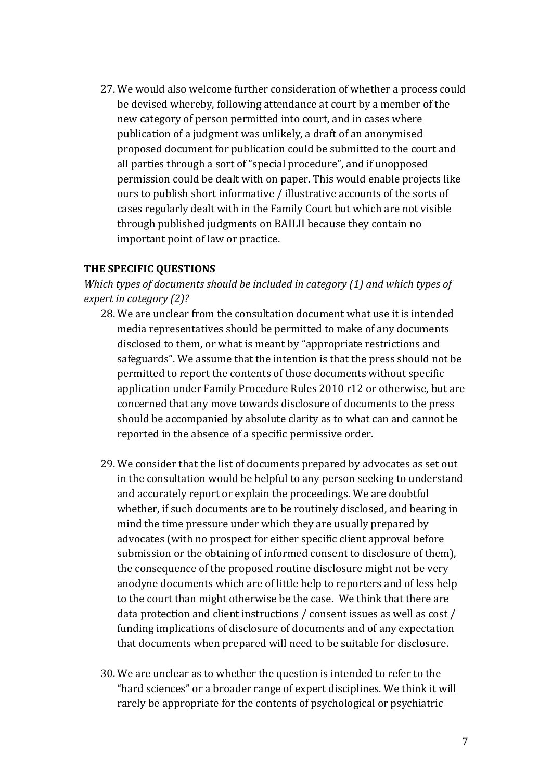27. We would also welcome further consideration of whether a process could be devised whereby, following attendance at court by a member of the new category of person permitted into court, and in cases where publication of a judgment was unlikely, a draft of an anonymised proposed document for publication could be submitted to the court and all parties through a sort of "special procedure", and if unopposed permission could be dealt with on paper. This would enable projects like ours to publish short informative / illustrative accounts of the sorts of cases regularly dealt with in the Family Court but which are not visible through published judgments on BAILII because they contain no important point of law or practice.

#### **THE SPECIFIC OUESTIONS**

Which types of documents should be included in category (1) and which types of expert in category (2)?

- 28. We are unclear from the consultation document what use it is intended media representatives should be permitted to make of any documents disclosed to them, or what is meant by "appropriate restrictions and safeguards". We assume that the intention is that the press should not be permitted to report the contents of those documents without specific application under Family Procedure Rules 2010 r12 or otherwise, but are concerned that any move towards disclosure of documents to the press should be accompanied by absolute clarity as to what can and cannot be reported in the absence of a specific permissive order.
- 29. We consider that the list of documents prepared by advocates as set out in the consultation would be helpful to any person seeking to understand and accurately report or explain the proceedings. We are doubtful whether, if such documents are to be routinely disclosed, and bearing in mind the time pressure under which they are usually prepared by advocates (with no prospect for either specific client approval before submission or the obtaining of informed consent to disclosure of them). the consequence of the proposed routine disclosure might not be very anodyne documents which are of little help to reporters and of less help to the court than might otherwise be the case. We think that there are data protection and client instructions / consent issues as well as cost / funding implications of disclosure of documents and of any expectation that documents when prepared will need to be suitable for disclosure.
- 30. We are unclear as to whether the question is intended to refer to the "hard sciences" or a broader range of expert disciplines. We think it will rarely be appropriate for the contents of psychological or psychiatric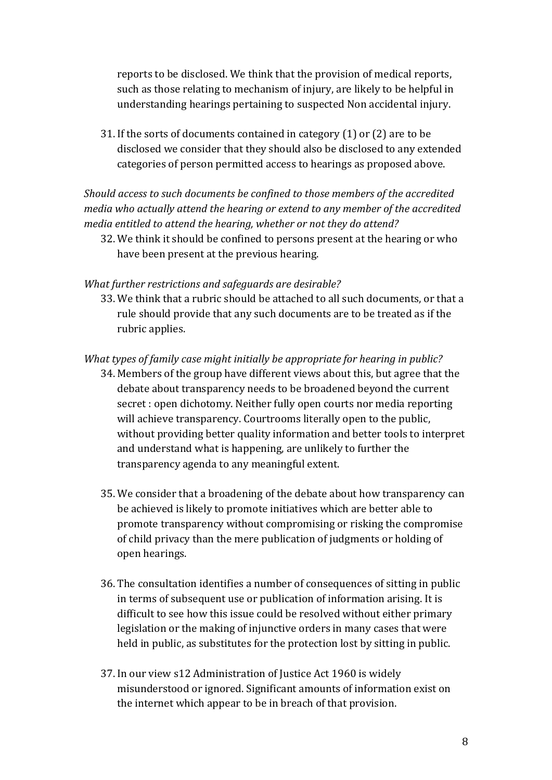reports to be disclosed. We think that the provision of medical reports, such as those relating to mechanism of injury, are likely to be helpful in understanding hearings pertaining to suspected Non accidental injury.

31. If the sorts of documents contained in category  $(1)$  or  $(2)$  are to be disclosed we consider that they should also be disclosed to any extended categories of person permitted access to hearings as proposed above.

Should access to such documents be confined to those members of the accredited media who actually attend the hearing or extend to any member of the accredited media entitled to attend the hearing, whether or not they do attend?

32. We think it should be confined to persons present at the hearing or who have been present at the previous hearing.

## What further restrictions and safeguards are desirable?

33. We think that a rubric should be attached to all such documents, or that a rule should provide that any such documents are to be treated as if the rubric applies.

#### What types of family case might initially be appropriate for hearing in public?

- 34. Members of the group have different views about this, but agree that the debate about transparency needs to be broadened beyond the current secret : open dichotomy. Neither fully open courts nor media reporting will achieve transparency. Courtrooms literally open to the public, without providing better quality information and better tools to interpret and understand what is happening, are unlikely to further the transparency agenda to any meaningful extent.
- 35. We consider that a broadening of the debate about how transparency can be achieved is likely to promote initiatives which are better able to promote transparency without compromising or risking the compromise of child privacy than the mere publication of judgments or holding of open hearings.
- 36. The consultation identifies a number of consequences of sitting in public in terms of subsequent use or publication of information arising. It is difficult to see how this issue could be resolved without either primary legislation or the making of injunctive orders in many cases that were held in public, as substitutes for the protection lost by sitting in public.
- 37. In our view s12 Administration of Justice Act 1960 is widely misunderstood or ignored. Significant amounts of information exist on the internet which appear to be in breach of that provision.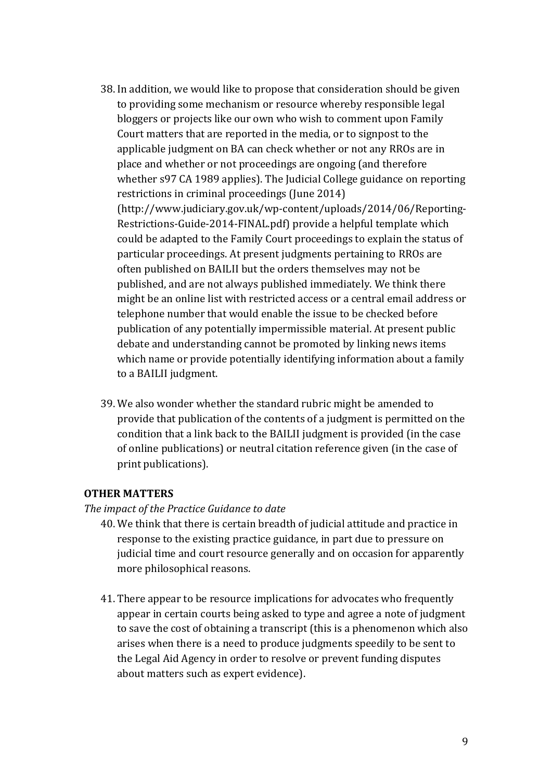- 38. In addition, we would like to propose that consideration should be given to providing some mechanism or resource whereby responsible legal bloggers or projects like our own who wish to comment upon Family Court matters that are reported in the media, or to signpost to the applicable judgment on BA can check whether or not any RROs are in place and whether or not proceedings are ongoing (and therefore whether s97 CA 1989 applies). The Judicial College guidance on reporting restrictions in criminal proceedings (June 2014) (http://www.judiciary.gov.uk/wp-content/uploads/2014/06/Reporting-Restrictions-Guide-2014-FINAL.pdf) provide a helpful template which could be adapted to the Family Court proceedings to explain the status of particular proceedings. At present judgments pertaining to RROs are often published on BAILII but the orders themselves may not be published, and are not always published immediately. We think there might be an online list with restricted access or a central email address or telephone number that would enable the issue to be checked before publication of any potentially impermissible material. At present public debate and understanding cannot be promoted by linking news items which name or provide potentially identifying information about a family to a BAILII judgment.
- 39. We also wonder whether the standard rubric might be amended to provide that publication of the contents of a judgment is permitted on the condition that a link back to the BAILII judgment is provided (in the case of online publications) or neutral citation reference given (in the case of print publications).

## **OTHER MATTERS**

#### The impact of the Practice Guidance to date

- 40. We think that there is certain breadth of judicial attitude and practice in response to the existing practice guidance, in part due to pressure on judicial time and court resource generally and on occasion for apparently more philosophical reasons.
- 41. There appear to be resource implications for advocates who frequently appear in certain courts being asked to type and agree a note of judgment to save the cost of obtaining a transcript (this is a phenomenon which also arises when there is a need to produce judgments speedily to be sent to the Legal Aid Agency in order to resolve or prevent funding disputes about matters such as expert evidence).